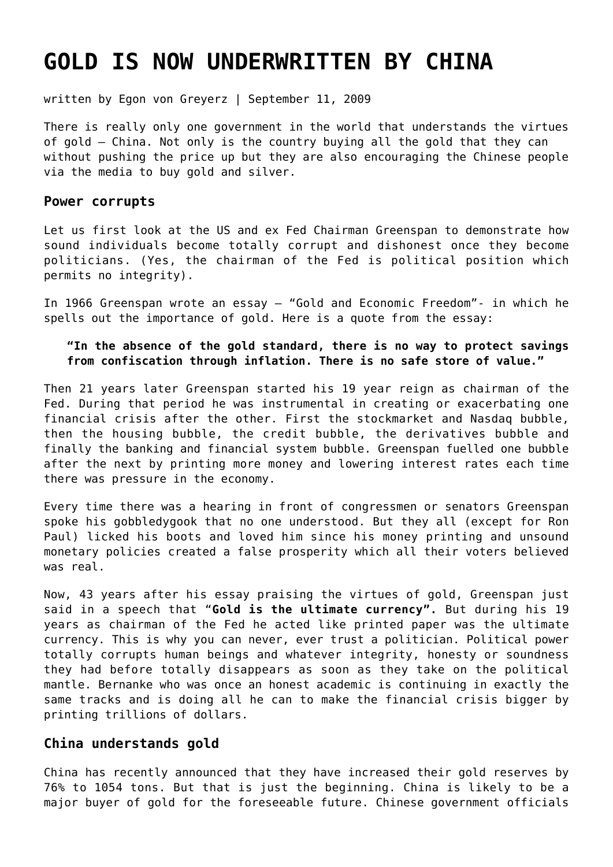# **[GOLD IS NOW UNDERWRITTEN BY CHINA](https://goldswitzerland.com/gold-is-now-underwritten-by-china/)**

written by Egon von Greyerz | September 11, 2009

There is really only one government in the world that understands the virtues of gold – China. Not only is the country buying all the gold that they can without pushing the price up but they are also encouraging the Chinese people via the media to buy gold and silver.

#### **Power corrupts**

Let us first look at the US and ex Fed Chairman Greenspan to demonstrate how sound individuals become totally corrupt and dishonest once they become politicians. (Yes, the chairman of the Fed is political position which permits no integrity).

In 1966 Greenspan wrote an essay – "Gold and Economic Freedom"- in which he spells out the importance of gold. Here is a quote from the essay:

#### **"In the absence of the gold standard, there is no way to protect savings from confiscation through inflation. There is no safe store of value."**

Then 21 years later Greenspan started his 19 year reign as chairman of the Fed. During that period he was instrumental in creating or exacerbating one financial crisis after the other. First the stockmarket and Nasdaq bubble, then the housing bubble, the credit bubble, the derivatives bubble and finally the banking and financial system bubble. Greenspan fuelled one bubble after the next by printing more money and lowering interest rates each time there was pressure in the economy.

Every time there was a hearing in front of congressmen or senators Greenspan spoke his gobbledygook that no one understood. But they all (except for Ron Paul) licked his boots and loved him since his money printing and unsound monetary policies created a false prosperity which all their voters believed was real.

Now, 43 years after his essay praising the virtues of gold, Greenspan just said in a speech that "**Gold is the ultimate currency".** But during his 19 years as chairman of the Fed he acted like printed paper was the ultimate currency. This is why you can never, ever trust a politician. Political power totally corrupts human beings and whatever integrity, honesty or soundness they had before totally disappears as soon as they take on the political mantle. Bernanke who was once an honest academic is continuing in exactly the same tracks and is doing all he can to make the financial crisis bigger by printing trillions of dollars.

### **China understands gold**

China has recently announced that they have increased their gold reserves by 76% to 1054 tons. But that is just the beginning. China is likely to be a major buyer of gold for the foreseeable future. Chinese government officials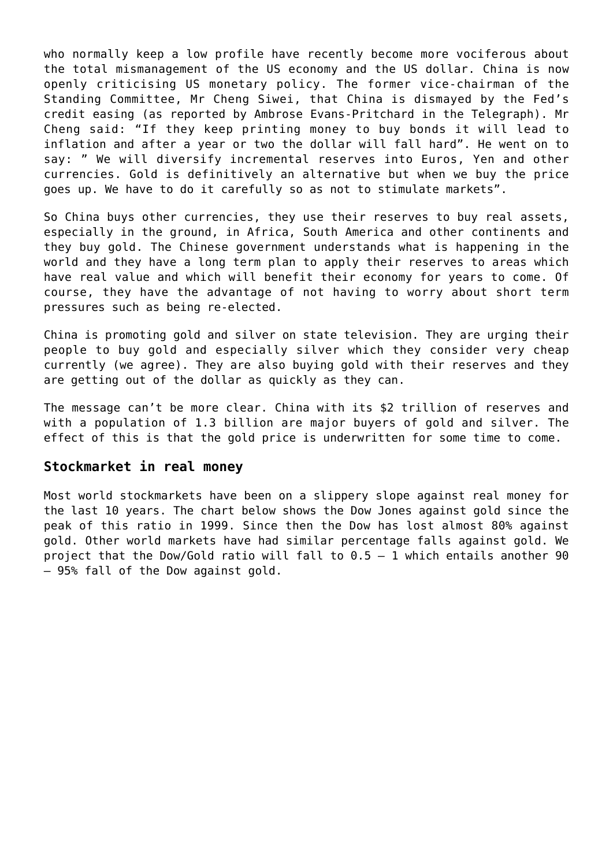who normally keep a low profile have recently become more vociferous about the total mismanagement of the US economy and the US dollar. China is now openly criticising US monetary policy. The former vice-chairman of the Standing Committee, Mr Cheng Siwei, that China is dismayed by the Fed's credit easing (as reported by Ambrose Evans-Pritchard in the Telegraph). Mr Cheng said: "If they keep printing money to buy bonds it will lead to inflation and after a year or two the dollar will fall hard". He went on to say: " We will diversify incremental reserves into Euros, Yen and other currencies. Gold is definitively an alternative but when we buy the price goes up. We have to do it carefully so as not to stimulate markets".

So China buys other currencies, they use their reserves to buy real assets, especially in the ground, in Africa, South America and other continents and they buy gold. The Chinese government understands what is happening in the world and they have a long term plan to apply their reserves to areas which have real value and which will benefit their economy for years to come. Of course, they have the advantage of not having to worry about short term pressures such as being re-elected.

China is promoting gold and silver on state television. They are urging their people to buy gold and especially silver which they consider very cheap currently (we agree). They are also buying gold with their reserves and they are getting out of the dollar as quickly as they can.

The message can't be more clear. China with its \$2 trillion of reserves and with a population of 1.3 billion are major buyers of gold and silver. The effect of this is that the gold price is underwritten for some time to come.

### **Stockmarket in real money**

Most world stockmarkets have been on a slippery slope against real money for the last 10 years. The chart below shows the Dow Jones against gold since the peak of this ratio in 1999. Since then the Dow has lost almost 80% against gold. Other world markets have had similar percentage falls against gold. We project that the Dow/Gold ratio will fall to 0.5 – 1 which entails another 90 – 95% fall of the Dow against gold.